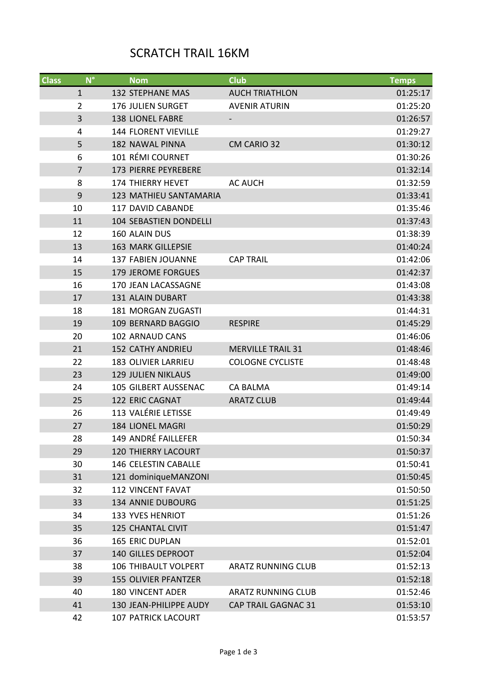## SCRATCH TRAIL 16KM

| <b>Class</b> | $N^{\circ}$    | <b>Nom</b>                    | <b>Club</b>                | <b>Temps</b> |
|--------------|----------------|-------------------------------|----------------------------|--------------|
|              | $\mathbf{1}$   | <b>132 STEPHANE MAS</b>       | <b>AUCH TRIATHLON</b>      | 01:25:17     |
|              | $\overline{2}$ | <b>176 JULIEN SURGET</b>      | <b>AVENIR ATURIN</b>       | 01:25:20     |
|              | 3              | <b>138 LIONEL FABRE</b>       |                            | 01:26:57     |
|              | 4              | <b>144 FLORENT VIEVILLE</b>   |                            | 01:29:27     |
|              | 5              | <b>182 NAWAL PINNA</b>        | CM CARIO 32                | 01:30:12     |
|              | 6              | 101 RÉMI COURNET              |                            | 01:30:26     |
|              | $\overline{7}$ | 173 PIERRE PEYREBERE          |                            | 01:32:14     |
|              | 8              | <b>174 THIERRY HEVET</b>      | <b>AC AUCH</b>             | 01:32:59     |
|              | 9              | 123 MATHIEU SANTAMARIA        |                            | 01:33:41     |
|              | 10             | 117 DAVID CABANDE             |                            | 01:35:46     |
|              | 11             | <b>104 SEBASTIEN DONDELLI</b> |                            | 01:37:43     |
|              | 12             | 160 ALAIN DUS                 |                            | 01:38:39     |
|              | 13             | <b>163 MARK GILLEPSIE</b>     |                            | 01:40:24     |
|              | 14             | <b>137 FABIEN JOUANNE</b>     | <b>CAP TRAIL</b>           | 01:42:06     |
|              | 15             | <b>179 JEROME FORGUES</b>     |                            | 01:42:37     |
|              | 16             | 170 JEAN LACASSAGNE           |                            | 01:43:08     |
|              | 17             | 131 ALAIN DUBART              |                            | 01:43:38     |
|              | 18             | 181 MORGAN ZUGASTI            |                            | 01:44:31     |
|              | 19             | 109 BERNARD BAGGIO            | <b>RESPIRE</b>             | 01:45:29     |
|              | 20             | <b>102 ARNAUD CANS</b>        |                            | 01:46:06     |
|              | 21             | <b>152 CATHY ANDRIEU</b>      | <b>MERVILLE TRAIL 31</b>   | 01:48:46     |
|              | 22             | <b>183 OLIVIER LARRIEU</b>    | <b>COLOGNE CYCLISTE</b>    | 01:48:48     |
|              | 23             | <b>129 JULIEN NIKLAUS</b>     |                            | 01:49:00     |
|              | 24             | 105 GILBERT AUSSENAC          | <b>CA BALMA</b>            | 01:49:14     |
|              | 25             | 122 ERIC CAGNAT               | <b>ARATZ CLUB</b>          | 01:49:44     |
|              | 26             | 113 VALÉRIE LETISSE           |                            | 01:49:49     |
|              | 27             | <b>184 LIONEL MAGRI</b>       |                            | 01:50:29     |
|              | 28             | 149 ANDRÉ FAILLEFER           |                            | 01:50:34     |
|              | 29             | <b>120 THIERRY LACOURT</b>    |                            | 01:50:37     |
|              | 30             | 146 CELESTIN CABALLE          |                            | 01:50:41     |
|              | 31             | 121 dominiqueMANZONI          |                            | 01:50:45     |
|              | 32             | <b>112 VINCENT FAVAT</b>      |                            | 01:50:50     |
|              | 33             | <b>134 ANNIE DUBOURG</b>      |                            | 01:51:25     |
|              | 34             | <b>133 YVES HENRIOT</b>       |                            | 01:51:26     |
|              | 35             | <b>125 CHANTAL CIVIT</b>      |                            | 01:51:47     |
|              | 36             | <b>165 ERIC DUPLAN</b>        |                            | 01:52:01     |
|              | 37             | 140 GILLES DEPROOT            |                            | 01:52:04     |
|              | 38             | <b>106 THIBAULT VOLPERT</b>   | <b>ARATZ RUNNING CLUB</b>  | 01:52:13     |
|              | 39             | <b>155 OLIVIER PFANTZER</b>   |                            | 01:52:18     |
|              | 40             | <b>180 VINCENT ADER</b>       | <b>ARATZ RUNNING CLUB</b>  | 01:52:46     |
|              | 41             | 130 JEAN-PHILIPPE AUDY        | <b>CAP TRAIL GAGNAC 31</b> | 01:53:10     |
|              | 42             | <b>107 PATRICK LACOURT</b>    |                            | 01:53:57     |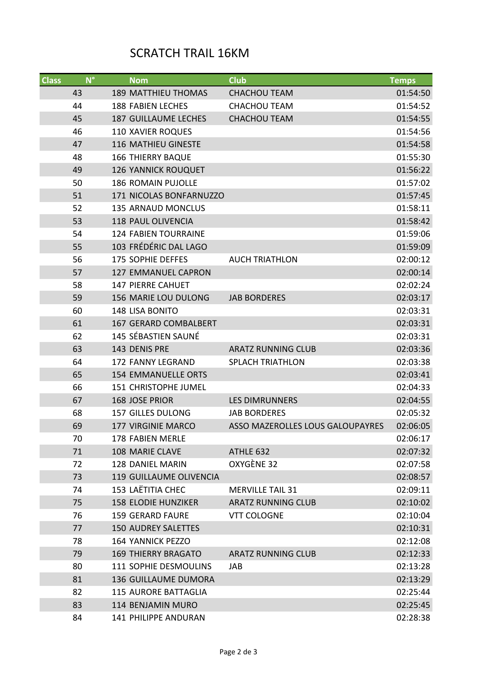## SCRATCH TRAIL 16KM

| <b>Class</b> | $N^{\circ}$ | <b>Nom</b>                     | <b>Club</b>                      | <b>Temps</b> |
|--------------|-------------|--------------------------------|----------------------------------|--------------|
|              | 43          | <b>189 MATTHIEU THOMAS</b>     | <b>CHACHOU TEAM</b>              | 01:54:50     |
|              | 44          | <b>188 FABIEN LECHES</b>       | <b>CHACHOU TEAM</b>              | 01:54:52     |
|              | 45          | <b>187 GUILLAUME LECHES</b>    | <b>CHACHOU TEAM</b>              | 01:54:55     |
|              | 46          | <b>110 XAVIER ROQUES</b>       |                                  | 01:54:56     |
|              | 47          | <b>116 MATHIEU GINESTE</b>     |                                  | 01:54:58     |
|              | 48          | <b>166 THIERRY BAQUE</b>       |                                  | 01:55:30     |
|              | 49          | <b>126 YANNICK ROUQUET</b>     |                                  | 01:56:22     |
|              | 50          | <b>186 ROMAIN PUJOLLE</b>      |                                  | 01:57:02     |
|              | 51          | 171 NICOLAS BONFARNUZZO        |                                  | 01:57:45     |
|              | 52          | <b>135 ARNAUD MONCLUS</b>      |                                  | 01:58:11     |
|              | 53          | <b>118 PAUL OLIVENCIA</b>      |                                  | 01:58:42     |
|              | 54          | <b>124 FABIEN TOURRAINE</b>    |                                  | 01:59:06     |
|              | 55          | 103 FRÉDÉRIC DAL LAGO          |                                  | 01:59:09     |
|              | 56          | <b>175 SOPHIE DEFFES</b>       | <b>AUCH TRIATHLON</b>            | 02:00:12     |
|              | 57          | 127 EMMANUEL CAPRON            |                                  | 02:00:14     |
|              | 58          | <b>147 PIERRE CAHUET</b>       |                                  | 02:02:24     |
|              | 59          | <b>156 MARIE LOU DULONG</b>    | <b>JAB BORDERES</b>              | 02:03:17     |
|              | 60          | 148 LISA BONITO                |                                  | 02:03:31     |
|              | 61          | <b>167 GERARD COMBALBERT</b>   |                                  | 02:03:31     |
|              | 62          | 145 SÉBASTIEN SAUNÉ            |                                  | 02:03:31     |
|              | 63          | 143 DENIS PRE                  | <b>ARATZ RUNNING CLUB</b>        | 02:03:36     |
|              | 64          | 172 FANNY LEGRAND              | <b>SPLACH TRIATHLON</b>          | 02:03:38     |
|              | 65          | <b>154 EMMANUELLE ORTS</b>     |                                  | 02:03:41     |
|              | 66          | 151 CHRISTOPHE JUMEL           |                                  | 02:04:33     |
|              | 67          | <b>168 JOSE PRIOR</b>          | <b>LES DIMRUNNERS</b>            | 02:04:55     |
|              | 68          | <b>157 GILLES DULONG</b>       | <b>JAB BORDERES</b>              | 02:05:32     |
|              | 69          | 177 VIRGINIE MARCO             | ASSO MAZEROLLES LOUS GALOUPAYRES | 02:06:05     |
|              | 70          | <b>178 FABIEN MERLE</b>        |                                  | 02:06:17     |
|              | 71          | 108 MARIE CLAVE                | ATHLE 632                        | 02:07:32     |
|              | 72          | 128 DANIEL MARIN               | OXYGÈNE 32                       | 02:07:58     |
|              | 73          | <b>119 GUILLAUME OLIVENCIA</b> |                                  | 02:08:57     |
|              | 74          | 153 LAËTITIA CHEC              | <b>MERVILLE TAIL 31</b>          | 02:09:11     |
|              | 75          | <b>158 ELODIE HUNZIKER</b>     | <b>ARATZ RUNNING CLUB</b>        | 02:10:02     |
|              | 76          | <b>159 GERARD FAURE</b>        | <b>VTT COLOGNE</b>               | 02:10:04     |
|              | 77          | <b>150 AUDREY SALETTES</b>     |                                  | 02:10:31     |
|              | 78          | <b>164 YANNICK PEZZO</b>       |                                  | 02:12:08     |
|              | 79          | <b>169 THIERRY BRAGATO</b>     | <b>ARATZ RUNNING CLUB</b>        | 02:12:33     |
|              | 80          | 111 SOPHIE DESMOULINS          | JAB                              | 02:13:28     |
|              | 81          | <b>136 GUILLAUME DUMORA</b>    |                                  | 02:13:29     |
|              | 82          | <b>115 AURORE BATTAGLIA</b>    |                                  | 02:25:44     |
|              | 83          | 114 BENJAMIN MURO              |                                  | 02:25:45     |
|              | 84          | 141 PHILIPPE ANDURAN           |                                  | 02:28:38     |